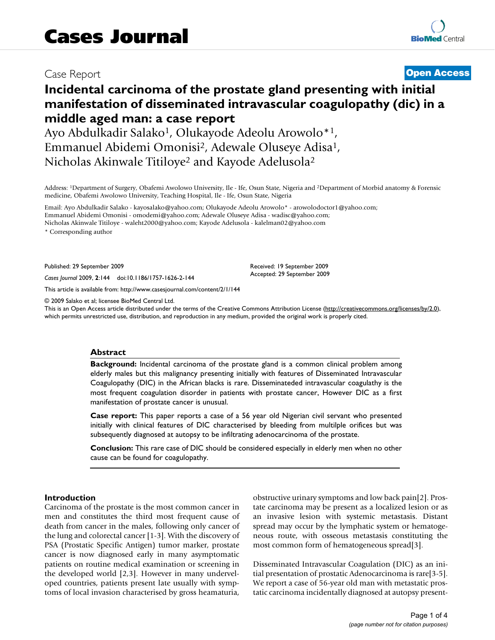# Case Report **[Open Access](http://www.biomedcentral.com/info/about/charter/)**

# **Incidental carcinoma of the prostate gland presenting with initial manifestation of disseminated intravascular coagulopathy (dic) in a middle aged man: a case report**

Ayo Abdulkadir Salako<sup>1</sup>, Olukayode Adeolu Arowolo<sup>\*1</sup>, Emmanuel Abidemi Omonisi2, Adewale Oluseye Adisa1, Nicholas Akinwale Titiloye<sup>2</sup> and Kayode Adelusola<sup>2</sup>

Address: 1Department of Surgery, Obafemi Awolowo University, Ile - Ife, Osun State, Nigeria and 2Department of Morbid anatomy & Forensic medicine, Obafemi Awolowo University, Teaching Hospital, Ile - Ife, Osun State, Nigeria

Email: Ayo Abdulkadir Salako - kayosalako@yahoo.com; Olukayode Adeolu Arowolo\* - arowolodoctor1@yahoo.com; Emmanuel Abidemi Omonisi - omodemi@yahoo.com; Adewale Oluseye Adisa - wadisc@yahoo.com; Nicholas Akinwale Titiloye - waleht2000@yahoo.com; Kayode Adelusola - kalelman02@yahoo.com

\* Corresponding author

Published: 29 September 2009

*Cases Journal* 2009, **2**:144 doi:10.1186/1757-1626-2-144

[This article is available from: http://www.casesjournal.com/content/2/1/144](http://www.casesjournal.com/content/2/1/144)

© 2009 Salako et al; licensee BioMed Central Ltd.

This is an Open Access article distributed under the terms of the Creative Commons Attribution License [\(http://creativecommons.org/licenses/by/2.0\)](http://creativecommons.org/licenses/by/2.0), which permits unrestricted use, distribution, and reproduction in any medium, provided the original work is properly cited.

Received: 19 September 2009 Accepted: 29 September 2009

#### **Abstract**

**Background:** Incidental carcinoma of the prostate gland is a common clinical problem among elderly males but this malignancy presenting initially with features of Disseminated Intravascular Coagulopathy (DIC) in the African blacks is rare. Disseminateded intravascular coagulathy is the most frequent coagulation disorder in patients with prostate cancer, However DIC as a first manifestation of prostate cancer is unusual.

**Case report:** This paper reports a case of a 56 year old Nigerian civil servant who presented initially with clinical features of DIC characterised by bleeding from multilple orifices but was subsequently diagnosed at autopsy to be infiltrating adenocarcinoma of the prostate.

**Conclusion:** This rare case of DIC should be considered especially in elderly men when no other cause can be found for coagulopathy.

#### **Introduction**

Carcinoma of the prostate is the most common cancer in men and constitutes the third most frequent cause of death from cancer in the males, following only cancer of the lung and colorectal cancer [1-3]. With the discovery of PSA (Prostatic Specific Antigen) tumor marker, prostate cancer is now diagnosed early in many asymptomatic patients on routine medical examination or screening in the developed world [2,3]. However in many underveloped countries, patients present late usually with symptoms of local invasion characterised by gross heamaturia,

obstructive urinary symptoms and low back pain[2]. Prostate carcinoma may be present as a localized lesion or as an invasive lesion with systemic metastasis. Distant spread may occur by the lymphatic system or hematogeneous route, with osseous metastasis constituting the most common form of hematogeneous spread[3].

Disseminated Intravascular Coagulation (DIC) as an initial presentation of prostatic Adenocarcinoma is rare[3-5]. We report a case of 56-year old man with metastatic prostatic carcinoma incidentally diagnosed at autopsy present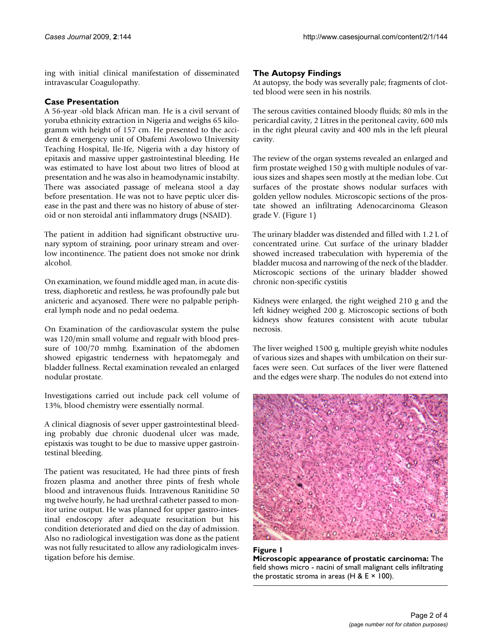ing with initial clinical manifestation of disseminated intravascular Coagulopathy.

# **Case Presentation**

A 56-year -old black African man. He is a civil servant of yoruba ethnicity extraction in Nigeria and weighs 65 kilogramm with height of 157 cm. He presented to the accident & emergency unit of Obafemi Awolowo University Teaching Hospital, Ile-Ife, Nigeria with a day history of epitaxis and massive upper gastrointestinal bleeding. He was estimated to have lost about two litres of blood at presentation and he was also in heamodynamic instabilty. There was associated passage of meleana stool a day before presentation. He was not to have peptic ulcer disease in the past and there was no history of abuse of steroid or non steroidal anti inflammatory drugs (NSAID).

The patient in addition had significant obstructive urunary syptom of straining, poor urinary stream and overlow incontinence. The patient does not smoke nor drink alcohol.

On examination, we found middle aged man, in acute distress, diaphoretic and restless, he was profoundly pale but anicteric and acyanosed. There were no palpable peripheral lymph node and no pedal oedema.

On Examination of the cardiovascular system the pulse was 120/min small volume and regualr with blood pressure of 100/70 mmhg. Examination of the abdomen showed epigastric tenderness with hepatomegaly and bladder fullness. Rectal examination revealed an enlarged nodular prostate.

Investigations carried out include pack cell volume of 13%, blood chemistry were essentially normal.

A clinical diagnosis of sever upper gastrointestinal bleeding probably due chronic duodenal ulcer was made, epistaxis was tought to be due to massive upper gastrointestinal bleeding.

The patient was resucitated, He had three pints of fresh frozen plasma and another three pints of fresh whole blood and intravenous fluids. Intravenous Ranitidine 50 mg twelve hourly, he had urethral catheter passed to monitor urine output. He was planned for upper gastro-intestinal endoscopy after adequate resucitation but his condition deteriorated and died on the day of admission. Also no radiological investigation was done as the patient was not fully resucitated to allow any radiologicalm investigation before his demise.

# **The Autopsy Findings**

At autopsy, the body was severally pale; fragments of clotted blood were seen in his nostrils.

The serous cavities contained bloody fluids; 80 mls in the pericardial cavity, 2 Litres in the peritoneal cavity, 600 mls in the right pleural cavity and 400 mls in the left pleural cavity.

The review of the organ systems revealed an enlarged and firm prostate weighed 150 g with multiple nodules of various sizes and shapes seen mostly at the median lobe. Cut surfaces of the prostate shows nodular surfaces with golden yellow nodules. Microscopic sections of the prostate showed an infiltrating Adenocarcinoma Gleason grade V. (Figure 1)

The urinary bladder was distended and filled with 1.2 L of concentrated urine. Cut surface of the urinary bladder showed increased trabeculation with hyperemia of the bladder mucosa and narrowing of the neck of the bladder. Microscopic sections of the urinary bladder showed chronic non-specific cystitis

Kidneys were enlarged, the right weighed 210 g and the left kidney weighed 200 g. Microscopic sections of both kidneys show features consistent with acute tubular necrosis.

The liver weighed 1500 g, multiple greyish white nodules of various sizes and shapes with umbilcation on their surfaces were seen. Cut surfaces of the liver were flattened and the edges were sharp. The nodules do not extend into



## Figure 1

**Microscopic appearance of prostatic carcinoma:** The field shows micro - nacini of small malignant cells infiltrating the prostatic stroma in areas (H & E  $\times$  100).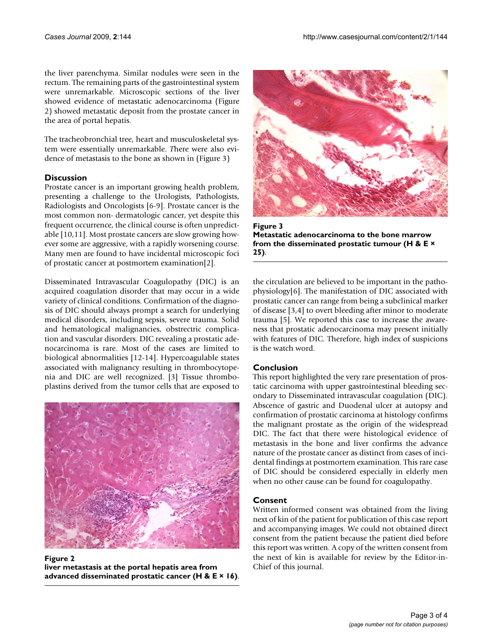the liver parenchyma. Similar nodules were seen in the rectum. The remaining parts of the gastrointestinal system were unremarkable. Microscopic sections of the liver showed evidence of metastatic adenocarcinoma (Figure 2) showed metastatic deposit from the prostate cancer in the area of portal hepatis.

The tracheobronchial tree, heart and musculoskeletal system were essentially unremarkable. *T*here were also evidence of metastasis to the bone as shown in (Figure 3)

# **Discussion**

Prostate cancer is an important growing health problem, presenting a challenge to the Urologists, Pathologists, Radiologists and Oncologists [6-9]. Prostate cancer is the most common non- dermatologic cancer, yet despite this frequent occurrence, the clinical course is often unpredictable [10,11]. Most prostate cancers are slow growing however some are aggressive, with a rapidly worsening course. Many men are found to have incidental microscopic foci of prostatic cancer at postmortem examination[2].

Disseminated Intravascular Coagulopathy (DIC) is an acquired coagulation disorder that may occur in a wide variety of clinical conditions. Confirmation of the diagnosis of DIC should always prompt a search for underlying medical disorders, including sepsis, severe trauma. Solid and hematological malignancies, obstrectric complication and vascular disorders. DIC revealing a prostatic adenocarcinoma is rare. Most of the cases are limited to biological abnormalities [12-14]. Hypercoagulable states associated with malignancy resulting in thrombocytopenia and DIC are well recognized. [3] Tissue thromboplastins derived from the tumor cells that are exposed to



**Figure 2 liver metastasis at the portal hepatis area from advanced disseminated prostatic cancer (H & E × 16)**.



Figure 3 **Metastatic adenocarcinoma to the bone marrow from the disseminated prostatic tumour (H & E × 25)**.

the circulation are believed to be important in the pathophysiology[6]. The manifestation of DIC associated with prostatic cancer can range from being a subclinical marker of disease [3,4] to overt bleeding after minor to moderate trauma [5]. We reported this case to increase the awareness that prostatic adenocarcinoma may present initially with features of DIC. Therefore, high index of suspicions is the watch word.

## **Conclusion**

This report highlighted the very rare presentation of prostatic carcinoma with upper gastrointestinal bleeding secondary to Disseminated intravascular coagulation (DIC). Abscence of gastric and Duodenal ulcer at autopsy and confirmation of prostatic carcinoma at histology confirms the malignant prostate as the origin of the widespread DIC. The fact that there were histological evidence of metastasis in the bone and liver confirms the advance nature of the prostate cancer as distinct from cases of incidental findings at postmortem examination. This rare case of DIC should be considered especially in elderly men when no other cause can be found for coagulopathy.

## **Consent**

Written informed consent was obtained from the living next of kin of the patient for publication of this case report and accompanying images. We could not obtained direct consent from the patient because the patient died before this report was written. A copy of the written consent from the next of kin is available for review by the Editor-in-Chief of this journal.